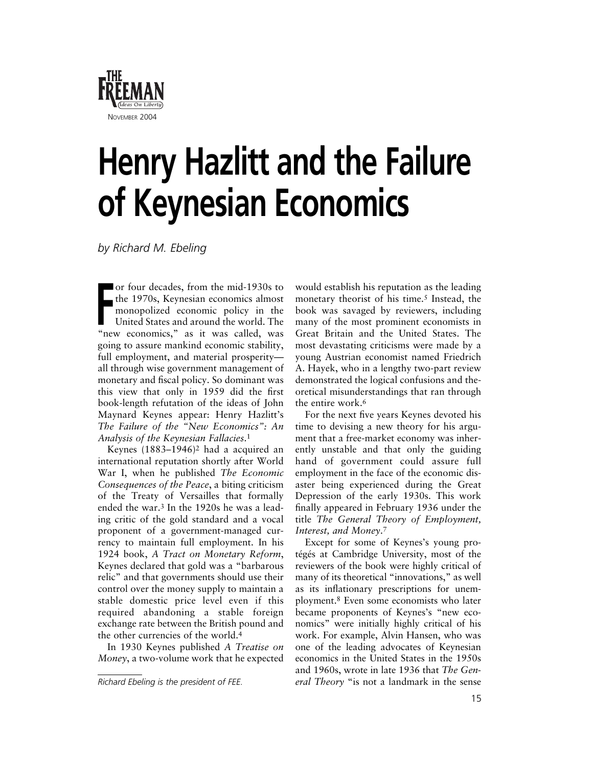

## **Henry Hazlitt and the Failure of Keynesian Economics**

*by Richard M. Ebeling*

**FR** the 1970s, Keynesian economics almost<br>
monopolized economic policy in the<br>
United States and around the world. The<br>
"now economics" as it was called we or four decades, from the mid-1930s to monopolized economic policy in the United States and around the world. The "new economics," as it was called, was going to assure mankind economic stability, full employment, and material prosperity all through wise government management of monetary and fiscal policy. So dominant was this view that only in 1959 did the first book-length refutation of the ideas of John Maynard Keynes appear: Henry Hazlitt's *The Failure of the "New Economics": An Analysis of the Keynesian Fallacies*.1

Keynes (1883–1946)2 had a acquired an international reputation shortly after World War I, when he published *The Economic Consequences of the Peace*, a biting criticism of the Treaty of Versailles that formally ended the war.3 In the 1920s he was a leading critic of the gold standard and a vocal proponent of a government-managed currency to maintain full employment. In his 1924 book, *A Tract on Monetary Reform*, Keynes declared that gold was a "barbarous relic" and that governments should use their control over the money supply to maintain a stable domestic price level even if this required abandoning a stable foreign exchange rate between the British pound and the other currencies of the world.4

In 1930 Keynes published *A Treatise on Money*, a two-volume work that he expected

would establish his reputation as the leading monetary theorist of his time.<sup>5</sup> Instead, the book was savaged by reviewers, including many of the most prominent economists in Great Britain and the United States. The most devastating criticisms were made by a young Austrian economist named Friedrich A. Hayek, who in a lengthy two-part review demonstrated the logical confusions and theoretical misunderstandings that ran through the entire work.6

For the next five years Keynes devoted his time to devising a new theory for his argument that a free-market economy was inherently unstable and that only the guiding hand of government could assure full employment in the face of the economic disaster being experienced during the Great Depression of the early 1930s. This work finally appeared in February 1936 under the title *The General Theory of Employment, Interest, and Money*.7

Except for some of Keynes's young protégés at Cambridge University, most of the reviewers of the book were highly critical of many of its theoretical "innovations," as well as its inflationary prescriptions for unemployment.8 Even some economists who later became proponents of Keynes's "new economics" were initially highly critical of his work. For example, Alvin Hansen, who was one of the leading advocates of Keynesian economics in the United States in the 1950s and 1960s, wrote in late 1936 that *The Gen-Richard Ebeling is the president of FEE. eral Theory* "is not a landmark in the sense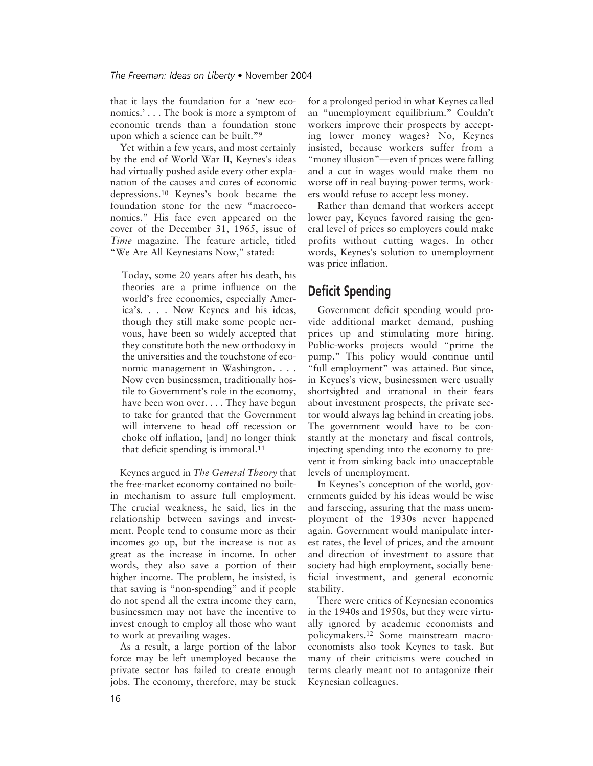that it lays the foundation for a 'new economics.' . . . The book is more a symptom of economic trends than a foundation stone upon which a science can be built."9

Yet within a few years, and most certainly by the end of World War II, Keynes's ideas had virtually pushed aside every other explanation of the causes and cures of economic depressions.10 Keynes's book became the foundation stone for the new "macroeconomics." His face even appeared on the cover of the December 31, 1965, issue of *Time* magazine. The feature article, titled "We Are All Keynesians Now," stated:

Today, some 20 years after his death, his theories are a prime influence on the world's free economies, especially America's. . . . Now Keynes and his ideas, though they still make some people nervous, have been so widely accepted that they constitute both the new orthodoxy in the universities and the touchstone of economic management in Washington. . . . Now even businessmen, traditionally hostile to Government's role in the economy, have been won over. . . . They have begun to take for granted that the Government will intervene to head off recession or choke off inflation, [and] no longer think that deficit spending is immoral.11

Keynes argued in *The General Theory* that the free-market economy contained no builtin mechanism to assure full employment. The crucial weakness, he said, lies in the relationship between savings and investment. People tend to consume more as their incomes go up, but the increase is not as great as the increase in income. In other words, they also save a portion of their higher income. The problem, he insisted, is that saving is "non-spending" and if people do not spend all the extra income they earn, businessmen may not have the incentive to invest enough to employ all those who want to work at prevailing wages.

As a result, a large portion of the labor force may be left unemployed because the private sector has failed to create enough jobs. The economy, therefore, may be stuck

for a prolonged period in what Keynes called an "unemployment equilibrium." Couldn't workers improve their prospects by accepting lower money wages? No, Keynes insisted, because workers suffer from a "money illusion"—even if prices were falling and a cut in wages would make them no worse off in real buying-power terms, workers would refuse to accept less money.

Rather than demand that workers accept lower pay, Keynes favored raising the general level of prices so employers could make profits without cutting wages. In other words, Keynes's solution to unemployment was price inflation.

## **Deficit Spending**

Government deficit spending would provide additional market demand, pushing prices up and stimulating more hiring. Public-works projects would "prime the pump." This policy would continue until "full employment" was attained. But since, in Keynes's view, businessmen were usually shortsighted and irrational in their fears about investment prospects, the private sector would always lag behind in creating jobs. The government would have to be constantly at the monetary and fiscal controls, injecting spending into the economy to prevent it from sinking back into unacceptable levels of unemployment.

In Keynes's conception of the world, governments guided by his ideas would be wise and farseeing, assuring that the mass unemployment of the 1930s never happened again. Government would manipulate interest rates, the level of prices, and the amount and direction of investment to assure that society had high employment, socially beneficial investment, and general economic stability.

There were critics of Keynesian economics in the 1940s and 1950s, but they were virtually ignored by academic economists and policymakers.12 Some mainstream macroeconomists also took Keynes to task. But many of their criticisms were couched in terms clearly meant not to antagonize their Keynesian colleagues.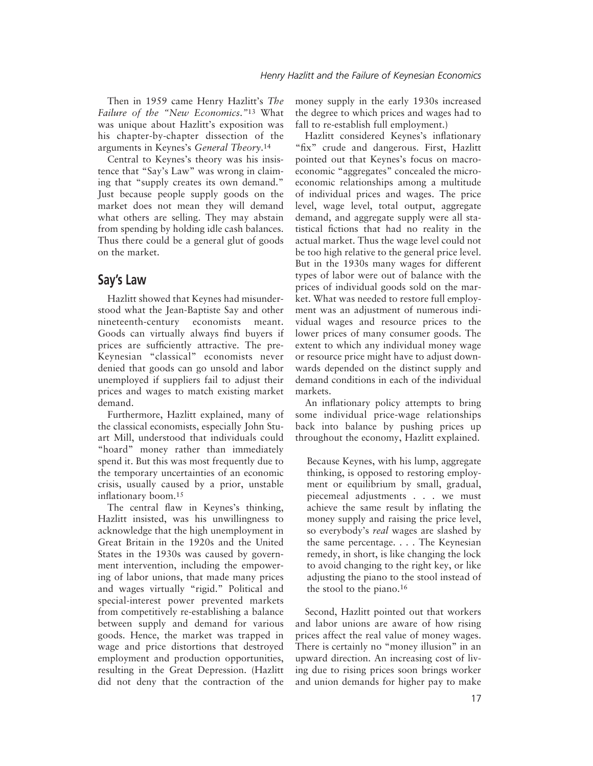Then in 1959 came Henry Hazlitt's *The Failure of the "New Economics*.*"*<sup>13</sup> What was unique about Hazlitt's exposition was his chapter-by-chapter dissection of the arguments in Keynes's *General Theory*.14

Central to Keynes's theory was his insistence that "Say's Law" was wrong in claiming that "supply creates its own demand." Just because people supply goods on the market does not mean they will demand what others are selling. They may abstain from spending by holding idle cash balances. Thus there could be a general glut of goods on the market.

## **Say's Law**

Hazlitt showed that Keynes had misunderstood what the Jean-Baptiste Say and other nineteenth-century economists meant. Goods can virtually always find buyers if prices are sufficiently attractive. The pre-Keynesian "classical" economists never denied that goods can go unsold and labor unemployed if suppliers fail to adjust their prices and wages to match existing market demand.

Furthermore, Hazlitt explained, many of the classical economists, especially John Stuart Mill, understood that individuals could "hoard" money rather than immediately spend it. But this was most frequently due to the temporary uncertainties of an economic crisis, usually caused by a prior, unstable inflationary boom.15

The central flaw in Keynes's thinking, Hazlitt insisted, was his unwillingness to acknowledge that the high unemployment in Great Britain in the 1920s and the United States in the 1930s was caused by government intervention, including the empowering of labor unions, that made many prices and wages virtually "rigid." Political and special-interest power prevented markets from competitively re-establishing a balance between supply and demand for various goods. Hence, the market was trapped in wage and price distortions that destroyed employment and production opportunities, resulting in the Great Depression. (Hazlitt did not deny that the contraction of the money supply in the early 1930s increased the degree to which prices and wages had to fall to re-establish full employment.)

Hazlitt considered Keynes's inflationary "fix" crude and dangerous. First, Hazlitt pointed out that Keynes's focus on macroeconomic "aggregates" concealed the microeconomic relationships among a multitude of individual prices and wages. The price level, wage level, total output, aggregate demand, and aggregate supply were all statistical fictions that had no reality in the actual market. Thus the wage level could not be too high relative to the general price level. But in the 1930s many wages for different types of labor were out of balance with the prices of individual goods sold on the market. What was needed to restore full employment was an adjustment of numerous individual wages and resource prices to the lower prices of many consumer goods. The extent to which any individual money wage or resource price might have to adjust downwards depended on the distinct supply and demand conditions in each of the individual markets.

An inflationary policy attempts to bring some individual price-wage relationships back into balance by pushing prices up throughout the economy, Hazlitt explained.

Because Keynes, with his lump, aggregate thinking, is opposed to restoring employment or equilibrium by small, gradual, piecemeal adjustments . . . we must achieve the same result by inflating the money supply and raising the price level, so everybody's *real* wages are slashed by the same percentage. . . . The Keynesian remedy, in short, is like changing the lock to avoid changing to the right key, or like adjusting the piano to the stool instead of the stool to the piano.16

Second, Hazlitt pointed out that workers and labor unions are aware of how rising prices affect the real value of money wages. There is certainly no "money illusion" in an upward direction. An increasing cost of living due to rising prices soon brings worker and union demands for higher pay to make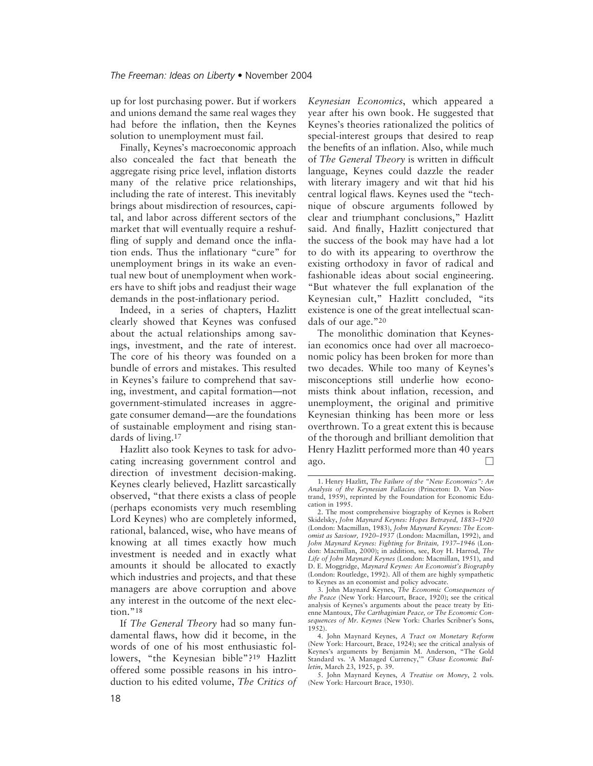up for lost purchasing power. But if workers and unions demand the same real wages they had before the inflation, then the Keynes solution to unemployment must fail.

Finally, Keynes's macroeconomic approach also concealed the fact that beneath the aggregate rising price level, inflation distorts many of the relative price relationships, including the rate of interest. This inevitably brings about misdirection of resources, capital, and labor across different sectors of the market that will eventually require a reshuffling of supply and demand once the inflation ends. Thus the inflationary "cure" for unemployment brings in its wake an eventual new bout of unemployment when workers have to shift jobs and readjust their wage demands in the post-inflationary period.

Indeed, in a series of chapters, Hazlitt clearly showed that Keynes was confused about the actual relationships among savings, investment, and the rate of interest. The core of his theory was founded on a bundle of errors and mistakes. This resulted in Keynes's failure to comprehend that saving, investment, and capital formation—not government-stimulated increases in aggregate consumer demand—are the foundations of sustainable employment and rising standards of living.17

Hazlitt also took Keynes to task for advocating increasing government control and direction of investment decision-making. Keynes clearly believed, Hazlitt sarcastically observed, "that there exists a class of people (perhaps economists very much resembling Lord Keynes) who are completely informed, rational, balanced, wise, who have means of knowing at all times exactly how much investment is needed and in exactly what amounts it should be allocated to exactly which industries and projects, and that these managers are above corruption and above any interest in the outcome of the next election."<sup>18</sup>

If *The General Theory* had so many fundamental flaws, how did it become, in the words of one of his most enthusiastic followers, "the Keynesian bible"?19 Hazlitt offered some possible reasons in his introduction to his edited volume, *The Critics of* *Keynesian Economics*, which appeared a year after his own book. He suggested that Keynes's theories rationalized the politics of special-interest groups that desired to reap the benefits of an inflation. Also, while much of *The General Theory* is written in difficult language, Keynes could dazzle the reader with literary imagery and wit that hid his central logical flaws. Keynes used the "technique of obscure arguments followed by clear and triumphant conclusions," Hazlitt said. And finally, Hazlitt conjectured that the success of the book may have had a lot to do with its appearing to overthrow the existing orthodoxy in favor of radical and fashionable ideas about social engineering. "But whatever the full explanation of the Keynesian cult," Hazlitt concluded, "its existence is one of the great intellectual scandals of our age."20

The monolithic domination that Keynesian economics once had over all macroeconomic policy has been broken for more than two decades. While too many of Keynes's misconceptions still underlie how economists think about inflation, recession, and unemployment, the original and primitive Keynesian thinking has been more or less overthrown. To a great extent this is because of the thorough and brilliant demolition that Henry Hazlitt performed more than 40 years ago.  $\Box$ 

<sup>1.</sup> Henry Hazlitt, *The Failure of the "New Economics": An Analysis of the Keynesian Fallacies* (Princeton: D. Van Nostrand, 1959), reprinted by the Foundation for Economic Education in 1995.

<sup>2.</sup> The most comprehensive biography of Keynes is Robert Skidelsky, *John Maynard Keynes: Hopes Betrayed, 1883–1920* (London: Macmillan, 1983), *John Maynard Keynes: The Economist as Saviour, 1920–1937* (London: Macmillan, 1992), and *John Maynard Keynes: Fighting for Britain, 1937–1946* (London: Macmillan, 2000); in addition, see, Roy H. Harrod, *The Life of John Maynard Keynes* (London: Macmillan, 1951), and D. E. Moggridge, *Maynard Keynes: An Economist's Biography* (London: Routledge, 1992). All of them are highly sympathetic to Keynes as an economist and policy advocate.

<sup>3.</sup> John Maynard Keynes, *The Economic Consequences of the Peace* (New York: Harcourt, Brace, 1920); see the critical analysis of Keynes's arguments about the peace treaty by Etienne Mantoux, *The Carthaginian Peace, or The Economic Consequences of Mr. Keynes* (New York: Charles Scribner's Sons, 1952).

<sup>4.</sup> John Maynard Keynes, *A Tract on Monetary Reform* (New York: Harcourt, Brace, 1924); see the critical analysis of Keynes's arguments by Benjamin M. Anderson, "The Gold Standard vs. 'A Managed Currency,'" *Chase Economic Bulletin*, March 23, 1925, p. 39.

<sup>5.</sup> John Maynard Keynes, *A Treatise on Money*, 2 vols. (New York: Harcourt Brace, 1930).